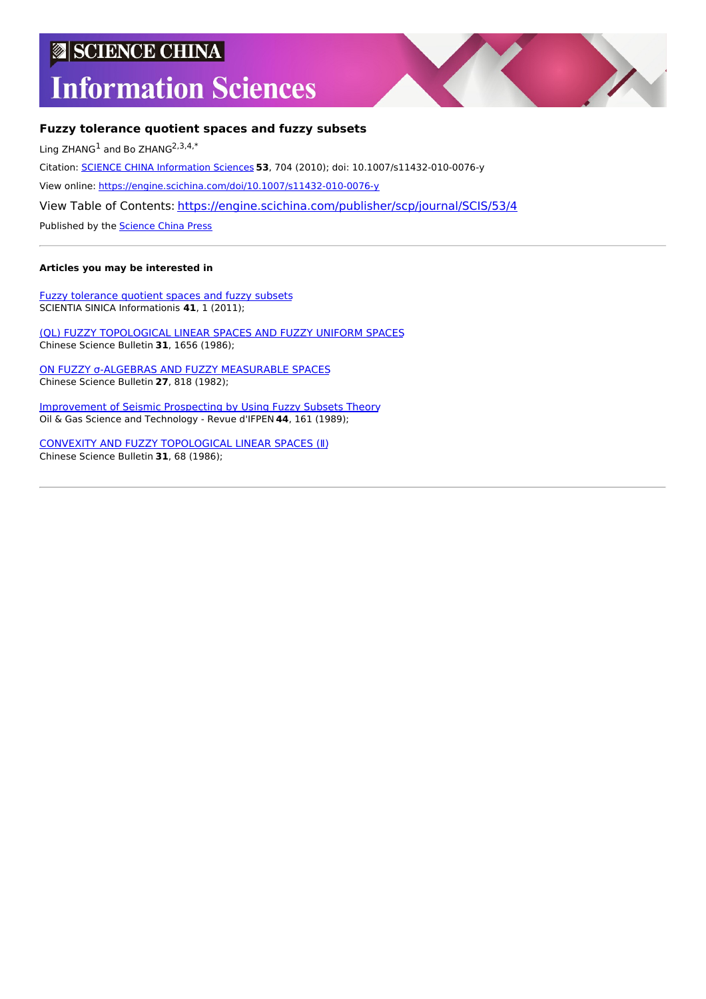# **SCIENCE CHINA**

# **Information Sciences**



# **Fuzzy tolerance quotient spaces and fuzzy subsets**

Ling ZHANG<sup>1</sup> and Bo ZHANG<sup>2,3,4,\*</sup>

Citation: SCIENCE CHINA [Information](https://engine.scichina.com/publisher/scp/journal/SCIS) Sciences **53**, 704 (2010); doi: 10.1007/s11432-010-0076-y

View online: <https://engine.scichina.com/doi/10.1007/s11432-010-0076-y>

View Table of Contents: <https://engine.scichina.com/publisher/scp/journal/SCIS/53/4>

Published by the [Science](https://engine.scichina.com/publisher/scp) China Press

# **Articles you may be interested in**

Fuzzy [tolerance](https://engine.scichina.com/doi/10.1360/zf2011-41-1-1) quotient spaces and fuzzy subsets SCIENTIA SINICA Informationis **41**, 1 (2011);

(QL) FUZZY [TOPOLOGICAL](https://engine.scichina.com/doi/10.1360/sb1986-31-23-1656) LINEAR SPACES AND FUZZY UNIFORM SPACES Chinese Science Bulletin **31**, 1656 (1986);

ON FUZZY σ-ALGEBRAS AND FUZZY [MEASURABLE](https://engine.scichina.com/doi/10.1360/sb1982-27-8-818) SPACES Chinese Science Bulletin **27**, 818 (1982);

[Improvement](https://engine.scichina.com/doi/10.2516/ogst:1989010) of Seismic Prospecting by Using Fuzzy Subsets Theory Oil & Gas Science and Technology - Revue d'IFPEN **44**, 161 (1989);

CONVEXITY AND FUZZY [TOPOLOGICAL](https://engine.scichina.com/doi/10.1360/sb1986-31-1-68) LINEAR SPACES (Ⅱ) Chinese Science Bulletin **31**, 68 (1986);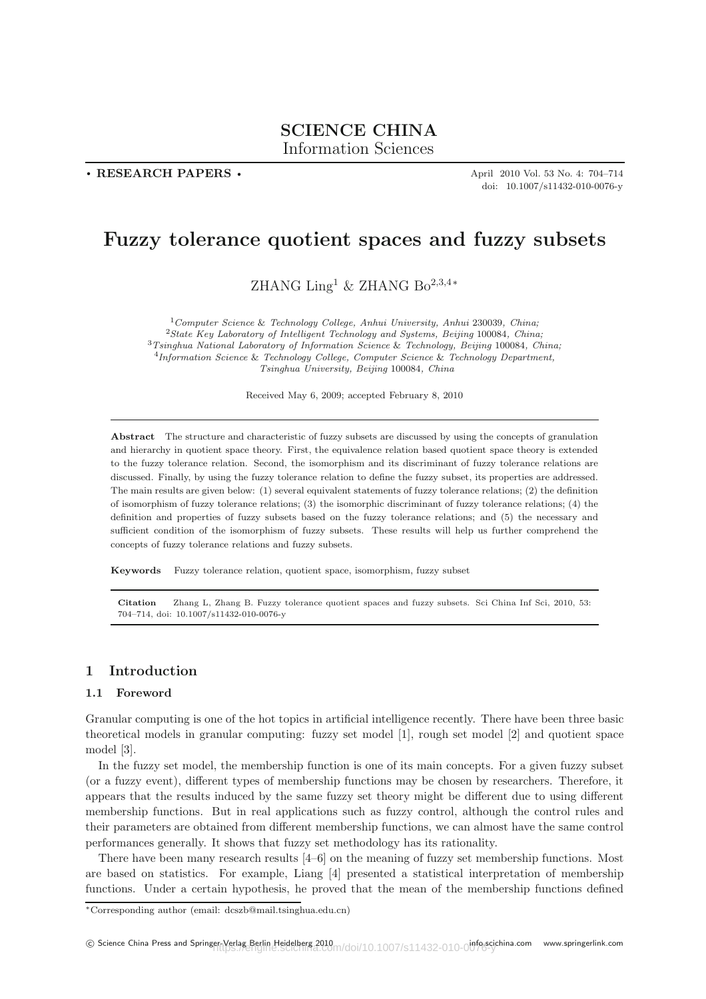# **SCIENCE CHINA**

Information Sciences

**. RESEARCH PAPERS .**

April 2010 Vol. 53 No. 4: 704–714 doi: 10.1007/s11432-010-0076-y

# **Fuzzy tolerance quotient spaces and fuzzy subsets**

ZHANG  $\text{Ling}^1$  & ZHANG Bo<sup>2,3,4</sup>\*

*Computer Science* & *Technology College, Anhui University, Anhui* 230039*, China; State Key Laboratory of Intelligent Technology and Systems, Beijing* 100084*, China; Tsinghua National Laboratory of Information Science* & *Technology, Beijing* 100084*, China; Information Science* & *Technology College, Computer Science* & *Technology Department, Tsinghua University, Beijing* 100084*, China*

Received May 6, 2009; accepted February 8, 2010

**Abstract** The structure and characteristic of fuzzy subsets are discussed by using the concepts of granulation and hierarchy in quotient space theory. First, the equivalence relation based quotient space theory is extended to the fuzzy tolerance relation. Second, the isomorphism and its discriminant of fuzzy tolerance relations are discussed. Finally, by using the fuzzy tolerance relation to define the fuzzy subset, its properties are addressed. The main results are given below: (1) several equivalent statements of fuzzy tolerance relations; (2) the definition of isomorphism of fuzzy tolerance relations; (3) the isomorphic discriminant of fuzzy tolerance relations; (4) the definition and properties of fuzzy subsets based on the fuzzy tolerance relations; and (5) the necessary and sufficient condition of the isomorphism of fuzzy subsets. These results will help us further comprehend the concepts of fuzzy tolerance relations and fuzzy subsets.

**Keywords** Fuzzy tolerance relation, quotient space, isomorphism, fuzzy subset

**Citation** Zhang L, Zhang B. Fuzzy tolerance quotient spaces and fuzzy subsets. Sci China Inf Sci, 2010, 53: 704–714, doi: 10.1007/s11432-010-0076-y

## **1 Introduction**

#### **1.1 Foreword**

Granular computing is one of the hot topics in artificial intelligence recently. There have been three basic theoretical models in granular computing: fuzzy set model [1], rough set model [2] and quotient space model [3].

In the fuzzy set model, the membership function is one of its main concepts. For a given fuzzy subset (or a fuzzy event), different types of membership functions may be chosen by researchers. Therefore, it appears that the results induced by the same fuzzy set theory might be different due to using different membership functions. But in real applications such as fuzzy control, although the control rules and their parameters are obtained from different membership functions, we can almost have the same control performances generally. It shows that fuzzy set methodology has its rationality.

There have been many research results [4–6] on the meaning of fuzzy set membership functions. Most are based on statistics. For example, Liang [4] presented a statistical interpretation of membership functions. Under a certain hypothesis, he proved that the mean of the membership functions defined

<sup>∗</sup>Corresponding author (email: dcszb@mail.tsinghua.edu.cn)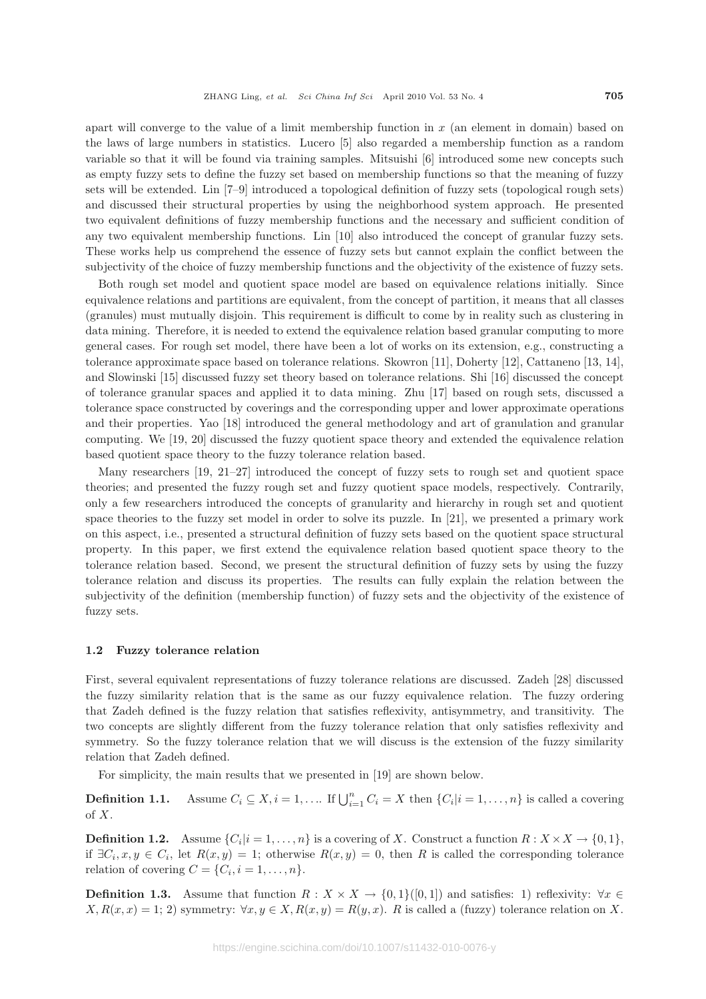apart will converge to the value of a limit membership function in  $x$  (an element in domain) based on the laws of large numbers in statistics. Lucero [5] also regarded a membership function as a random variable so that it will be found via training samples. Mitsuishi [6] introduced some new concepts such as empty fuzzy sets to define the fuzzy set based on membership functions so that the meaning of fuzzy sets will be extended. Lin [7–9] introduced a topological definition of fuzzy sets (topological rough sets) and discussed their structural properties by using the neighborhood system approach. He presented two equivalent definitions of fuzzy membership functions and the necessary and sufficient condition of any two equivalent membership functions. Lin [10] also introduced the concept of granular fuzzy sets. These works help us comprehend the essence of fuzzy sets but cannot explain the conflict between the subjectivity of the choice of fuzzy membership functions and the objectivity of the existence of fuzzy sets.

Both rough set model and quotient space model are based on equivalence relations initially. Since equivalence relations and partitions are equivalent, from the concept of partition, it means that all classes (granules) must mutually disjoin. This requirement is difficult to come by in reality such as clustering in data mining. Therefore, it is needed to extend the equivalence relation based granular computing to more general cases. For rough set model, there have been a lot of works on its extension, e.g., constructing a tolerance approximate space based on tolerance relations. Skowron [11], Doherty [12], Cattaneno [13, 14], and Slowinski [15] discussed fuzzy set theory based on tolerance relations. Shi [16] discussed the concept of tolerance granular spaces and applied it to data mining. Zhu [17] based on rough sets, discussed a tolerance space constructed by coverings and the corresponding upper and lower approximate operations and their properties. Yao [18] introduced the general methodology and art of granulation and granular computing. We [19, 20] discussed the fuzzy quotient space theory and extended the equivalence relation based quotient space theory to the fuzzy tolerance relation based.

Many researchers [19, 21–27] introduced the concept of fuzzy sets to rough set and quotient space theories; and presented the fuzzy rough set and fuzzy quotient space models, respectively. Contrarily, only a few researchers introduced the concepts of granularity and hierarchy in rough set and quotient space theories to the fuzzy set model in order to solve its puzzle. In [21], we presented a primary work on this aspect, i.e., presented a structural definition of fuzzy sets based on the quotient space structural property. In this paper, we first extend the equivalence relation based quotient space theory to the tolerance relation based. Second, we present the structural definition of fuzzy sets by using the fuzzy tolerance relation and discuss its properties. The results can fully explain the relation between the subjectivity of the definition (membership function) of fuzzy sets and the objectivity of the existence of fuzzy sets.

#### **1.2 Fuzzy tolerance relation**

First, several equivalent representations of fuzzy tolerance relations are discussed. Zadeh [28] discussed the fuzzy similarity relation that is the same as our fuzzy equivalence relation. The fuzzy ordering that Zadeh defined is the fuzzy relation that satisfies reflexivity, antisymmetry, and transitivity. The two concepts are slightly different from the fuzzy tolerance relation that only satisfies reflexivity and symmetry. So the fuzzy tolerance relation that we will discuss is the extension of the fuzzy similarity relation that Zadeh defined.

For simplicity, the main results that we presented in [19] are shown below.

**Definition 1.1.** Assume  $C_i \subseteq X, i = 1, \ldots$  If  $\bigcup_{i=1}^n C_i = X$  then  $\{C_i | i = 1, \ldots, n\}$  is called a covering of X.

**Definition 1.2.** Assume  $\{C_i|i=1,\ldots,n\}$  is a covering of X. Construct a function  $R: X \times X \to \{0,1\}$ , if  $\exists C_i, x, y \in C_i$ , let  $R(x, y) = 1$ ; otherwise  $R(x, y) = 0$ , then R is called the corresponding tolerance relation of covering  $C = \{C_i, i = 1, \ldots, n\}.$ 

**Definition 1.3.** Assume that function  $R : X \times X \to \{0,1\}$  [[0, 1]) and satisfies: 1) reflexivity:  $\forall x \in \{0,1\}$  $X, R(x, x) = 1; 2$  symmetry:  $\forall x, y \in X, R(x, y) = R(y, x)$ . R is called a (fuzzy) tolerance relation on X.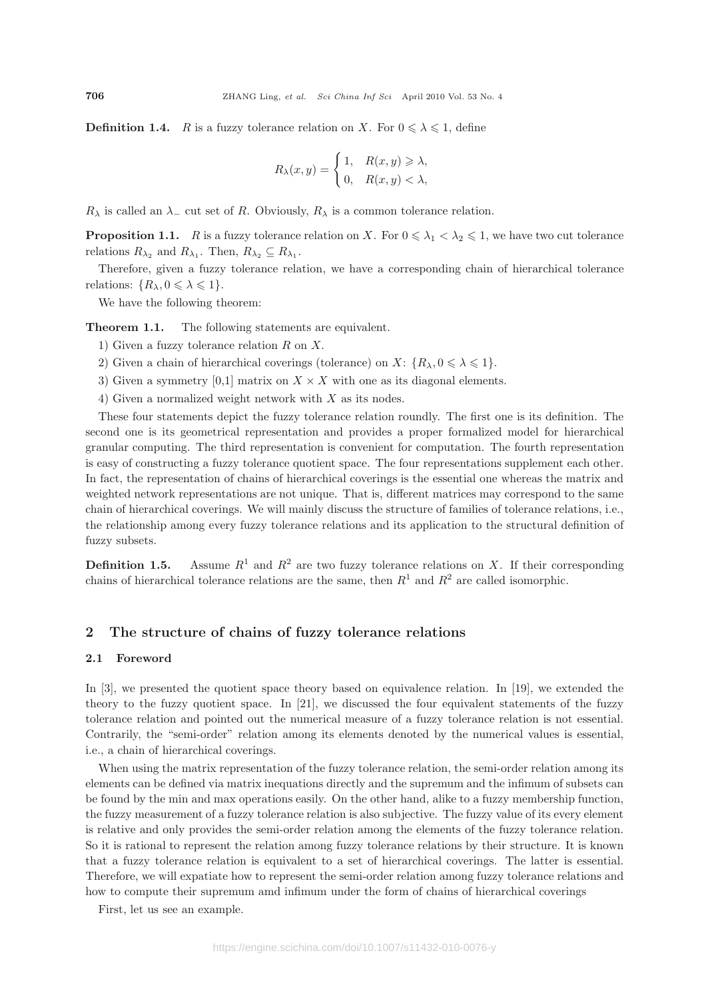**Definition 1.4.** R is a fuzzy tolerance relation on X. For  $0 \le \lambda \le 1$ , define

$$
R_{\lambda}(x, y) = \begin{cases} 1, & R(x, y) \geq \lambda, \\ 0, & R(x, y) < \lambda, \end{cases}
$$

 $R_{\lambda}$  is called an  $\lambda_{-}$  cut set of R. Obviously,  $R_{\lambda}$  is a common tolerance relation.

**Proposition 1.1.** R is a fuzzy tolerance relation on X. For  $0 \le \lambda_1 < \lambda_2 \le 1$ , we have two cut tolerance relations  $R_{\lambda_2}$  and  $R_{\lambda_1}$ . Then,  $R_{\lambda_2} \subseteq R_{\lambda_1}$ .

Therefore, given a fuzzy tolerance relation, we have a corresponding chain of hierarchical tolerance relations:  $\{R_{\lambda}, 0 \leqslant \lambda \leqslant 1\}.$ 

We have the following theorem:

**Theorem 1.1.** The following statements are equivalent.

- 1) Given a fuzzy tolerance relation R on X.
- 2) Given a chain of hierarchical coverings (tolerance) on  $X: \{R_{\lambda}, 0 \leq \lambda \leq 1\}$ .
- 3) Given a symmetry [0,1] matrix on  $X \times X$  with one as its diagonal elements.
- 4) Given a normalized weight network with X as its nodes.

These four statements depict the fuzzy tolerance relation roundly. The first one is its definition. The second one is its geometrical representation and provides a proper formalized model for hierarchical granular computing. The third representation is convenient for computation. The fourth representation is easy of constructing a fuzzy tolerance quotient space. The four representations supplement each other. In fact, the representation of chains of hierarchical coverings is the essential one whereas the matrix and weighted network representations are not unique. That is, different matrices may correspond to the same chain of hierarchical coverings. We will mainly discuss the structure of families of tolerance relations, i.e., the relationship among every fuzzy tolerance relations and its application to the structural definition of fuzzy subsets.

**Definition 1.5.** Assume  $R^1$  and  $R^2$  are two fuzzy tolerance relations on X. If their corresponding chains of hierarchical tolerance relations are the same, then  $R^1$  and  $R^2$  are called isomorphic.

## **2 The structure of chains of fuzzy tolerance relations**

#### **2.1 Foreword**

In [3], we presented the quotient space theory based on equivalence relation. In [19], we extended the theory to the fuzzy quotient space. In [21], we discussed the four equivalent statements of the fuzzy tolerance relation and pointed out the numerical measure of a fuzzy tolerance relation is not essential. Contrarily, the "semi-order" relation among its elements denoted by the numerical values is essential, i.e., a chain of hierarchical coverings.

When using the matrix representation of the fuzzy tolerance relation, the semi-order relation among its elements can be defined via matrix inequations directly and the supremum and the infimum of subsets can be found by the min and max operations easily. On the other hand, alike to a fuzzy membership function, the fuzzy measurement of a fuzzy tolerance relation is also subjective. The fuzzy value of its every element is relative and only provides the semi-order relation among the elements of the fuzzy tolerance relation. So it is rational to represent the relation among fuzzy tolerance relations by their structure. It is known that a fuzzy tolerance relation is equivalent to a set of hierarchical coverings. The latter is essential. Therefore, we will expatiate how to represent the semi-order relation among fuzzy tolerance relations and how to compute their supremum amd infimum under the form of chains of hierarchical coverings

First, let us see an example.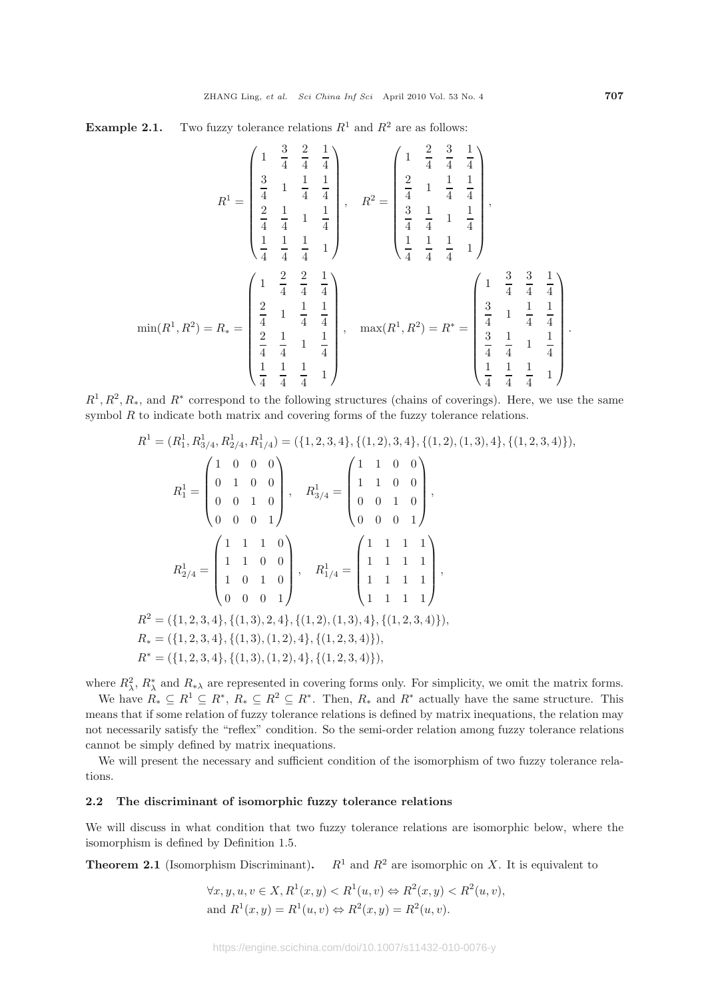**Example 2.1.** Two fuzzy tolerance relations  $R^1$  and  $R^2$  are as follows:

$$
R^{1} = \begin{pmatrix} 1 & \frac{3}{4} & \frac{2}{4} & \frac{1}{4} \\ \frac{3}{4} & 1 & \frac{1}{4} & \frac{1}{4} \\ \frac{2}{4} & \frac{1}{4} & 1 & \frac{1}{4} \\ \frac{1}{4} & \frac{1}{4} & \frac{1}{4} & 1 \end{pmatrix}, \quad R^{2} = \begin{pmatrix} 1 & \frac{2}{4} & \frac{3}{4} & \frac{1}{4} \\ \frac{2}{4} & 1 & \frac{1}{4} & \frac{1}{4} \\ \frac{3}{4} & \frac{1}{4} & 1 & \frac{1}{4} \\ \frac{1}{4} & \frac{1}{4} & \frac{1}{4} & 1 \end{pmatrix},
$$

$$
\min(R^{1}, R^{2}) = R_{*} = \begin{pmatrix} 1 & \frac{2}{4} & \frac{2}{4} & \frac{1}{4} \\ \frac{2}{4} & 1 & \frac{1}{4} & \frac{1}{4} \\ \frac{2}{4} & 1 & \frac{1}{4} & \frac{1}{4} \\ \frac{2}{4} & \frac{1}{4} & 1 & \frac{1}{4} \\ \frac{1}{4} & \frac{1}{4} & \frac{1}{4} & 1 \end{pmatrix}, \quad \max(R^{1}, R^{2}) = R^{*} = \begin{pmatrix} 1 & \frac{3}{4} & \frac{3}{4} & \frac{1}{4} \\ \frac{3}{4} & 1 & \frac{1}{4} & \frac{1}{4} \\ \frac{3}{4} & \frac{1}{4} & 1 & \frac{1}{4} \\ \frac{1}{4} & \frac{1}{4} & \frac{1}{4} & 1 \end{pmatrix}
$$

 $R^1, R^2, R_*$ , and  $R^*$  correspond to the following structures (chains of coverings). Here, we use the same symbol  $R$  to indicate both matrix and covering forms of the fuzzy tolerance relations.

$$
R^{1} = (R_{1}^{1}, R_{3/4}^{1}, R_{2/4}^{1}, R_{1/4}^{1}) = (\{1, 2, 3, 4\}, \{(1, 2), 3, 4\}, \{(1, 2), (1, 3), 4\}, \{(1, 2, 3, 4)\}),
$$
  
\n
$$
R_{1}^{1} = \begin{pmatrix} 1 & 0 & 0 & 0 \\ 0 & 1 & 0 & 0 \\ 0 & 0 & 1 & 0 \\ 0 & 0 & 0 & 1 \end{pmatrix}, \quad R_{3/4}^{1} = \begin{pmatrix} 1 & 1 & 0 & 0 \\ 1 & 1 & 0 & 0 \\ 0 & 0 & 1 & 0 \\ 0 & 0 & 0 & 1 \end{pmatrix},
$$
  
\n
$$
R_{2/4}^{1} = \begin{pmatrix} 1 & 1 & 1 & 0 \\ 1 & 1 & 0 & 0 \\ 1 & 0 & 1 & 0 \\ 1 & 0 & 1 & 0 \\ 0 & 0 & 0 & 1 \end{pmatrix}, \quad R_{1/4}^{1} = \begin{pmatrix} 1 & 1 & 1 & 1 \\ 1 & 1 & 1 & 1 \\ 1 & 1 & 1 & 1 \\ 1 & 1 & 1 & 1 \end{pmatrix},
$$
  
\n
$$
R^{2} = (\{1, 2, 3, 4\}, \{(1, 3), 2, 4\}, \{(1, 2), (1, 3), 4\}, \{(1, 2, 3, 4)\}),
$$
  
\n
$$
R^{*} = (\{1, 2, 3, 4\}, \{(1, 3), (1, 2), 4\}, \{(1, 2, 3, 4)\}),
$$
  
\n
$$
R^{*} = (\{1, 2, 3, 4\}, \{(1, 3), (1, 2), 4\}, \{(1, 2, 3, 4)\}),
$$

where  $R_\lambda^2$ ,  $R_\lambda^*$  and  $R_{*\lambda}$  are represented in covering forms only. For simplicity, we omit the matrix forms.

We have  $R_* \subseteq R^1 \subseteq R^*, R_* \subseteq R^2 \subseteq R^*$ . Then,  $R_*$  and  $R^*$  actually have the same structure. This means that if some relation of fuzzy tolerance relations is defined by matrix inequations, the relation may not necessarily satisfy the "reflex" condition. So the semi-order relation among fuzzy tolerance relations cannot be simply defined by matrix inequations.

We will present the necessary and sufficient condition of the isomorphism of two fuzzy tolerance relations.

#### **2.2 The discriminant of isomorphic fuzzy tolerance relations**

We will discuss in what condition that two fuzzy tolerance relations are isomorphic below, where the isomorphism is defined by Definition 1.5.

**Theorem 2.1** (Isomorphism Discriminant).  $R^1$  and  $R^2$  are isomorphic on X. It is equivalent to

$$
\forall x, y, u, v \in X, R^1(x, y) < R^1(u, v) \Leftrightarrow R^2(x, y) < R^2(u, v),
$$
\n
$$
\text{and } R^1(x, y) = R^1(u, v) \Leftrightarrow R^2(x, y) = R^2(u, v).
$$

.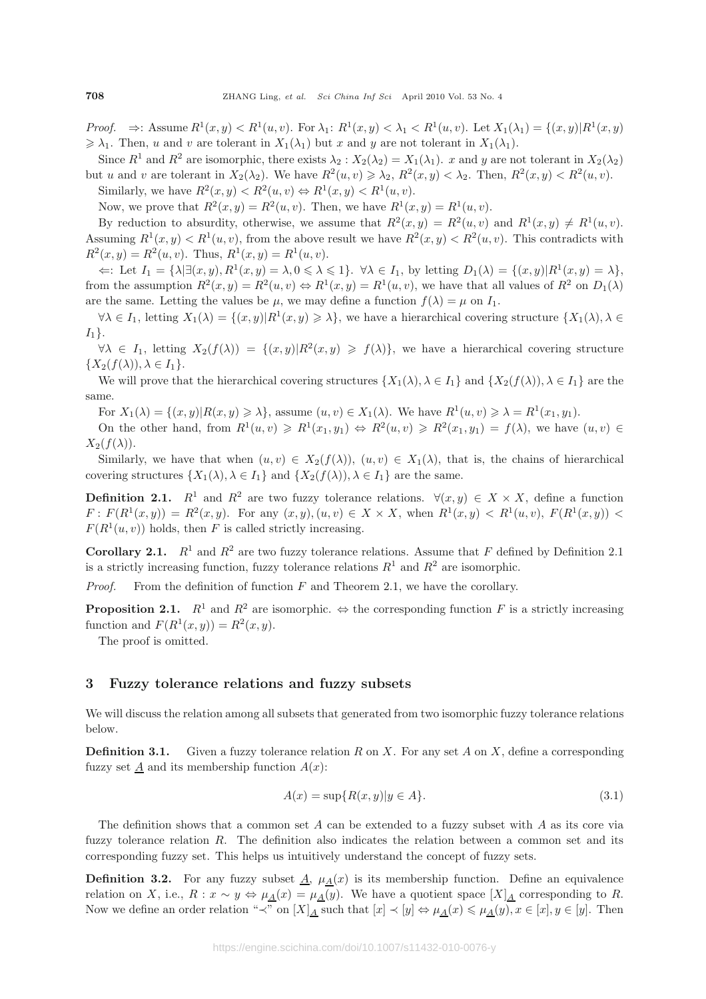*Proof.*  $\Rightarrow$ : Assume  $R^1(x, y) < R^1(u, v)$ . For  $\lambda_1: R^1(x, y) < \lambda_1 < R^1(u, v)$ . Let  $X_1(\lambda_1) = \{(x, y) | R^1(x, y)$  $\geq \lambda_1$ . Then, u and v are tolerant in  $X_1(\lambda_1)$  but x and y are not tolerant in  $X_1(\lambda_1)$ .

Since  $R^1$  and  $R^2$  are isomorphic, there exists  $\lambda_2 : X_2(\lambda_2) = X_1(\lambda_1)$ . x and y are not tolerant in  $X_2(\lambda_2)$ but u and v are tolerant in  $X_2(\lambda_2)$ . We have  $R^2(u, v) \ge \lambda_2$ ,  $R^2(x, y) < \lambda_2$ . Then,  $R^2(x, y) < R^2(u, v)$ .

Similarly, we have  $R^2(x, y) < R^2(u, v) \Leftrightarrow R^1(x, y) < R^1(u, v)$ .

Now, we prove that  $R^2(x, y) = R^2(u, v)$ . Then, we have  $R^1(x, y) = R^1(u, v)$ .

By reduction to absurdity, otherwise, we assume that  $R^2(x, y) = R^2(u, v)$  and  $R^1(x, y) \neq R^1(u, v)$ . Assuming  $R^1(x, y) < R^1(u, v)$ , from the above result we have  $R^2(x, y) < R^2(u, v)$ . This contradicts with  $R^2(x, y) = R^2(u, v)$ . Thus,  $R^1(x, y) = R^1(u, v)$ .

 $\Leftarrow$ : Let  $I_1 = {\lambda} \exists (x, y), R^1(x, y) = \lambda, 0 \leq \lambda \leq 1$ .  $\forall \lambda \in I_1$ , by letting  $D_1(\lambda) = {(x, y) | R^1(x, y) = \lambda},$ from the assumption  $R^2(x, y) = R^2(u, v) \Leftrightarrow R^1(x, y) = R^1(u, v)$ , we have that all values of  $R^2$  on  $D_1(\lambda)$ are the same. Letting the values be  $\mu$ , we may define a function  $f(\lambda) = \mu$  on  $I_1$ .

 $\forall \lambda \in I_1$ , letting  $X_1(\lambda) = \{(x, y) | R^1(x, y) \geq \lambda\}$ , we have a hierarchical covering structure  $\{X_1(\lambda), \lambda \in I_1\}$  $I_1$ .

 $\forall \lambda \in I_1$ , letting  $X_2(f(\lambda)) = \{(x, y) | R^2(x, y) \geq f(\lambda) \}$ , we have a hierarchical covering structure  $\{X_2(f(\lambda)), \lambda \in I_1\}.$ 

We will prove that the hierarchical covering structures  $\{X_1(\lambda), \lambda \in I_1\}$  and  $\{X_2(f(\lambda)), \lambda \in I_1\}$  are the same.

For  $X_1(\lambda) = \{(x, y) | R(x, y) \geq \lambda\}$ , assume  $(u, v) \in X_1(\lambda)$ . We have  $R^1(u, v) \geq \lambda = R^1(x_1, y_1)$ .

On the other hand, from  $R^1(u, v) \ge R^1(x_1, y_1) \Leftrightarrow R^2(u, v) \ge R^2(x_1, y_1) = f(\lambda)$ , we have  $(u, v) \in$  $X_2(f(\lambda)).$ 

Similarly, we have that when  $(u, v) \in X_2(f(\lambda))$ ,  $(u, v) \in X_1(\lambda)$ , that is, the chains of hierarchical covering structures  $\{X_1(\lambda), \lambda \in I_1\}$  and  $\{X_2(f(\lambda)), \lambda \in I_1\}$  are the same.

**Definition 2.1.**  $R^1$  and  $R^2$  are two fuzzy tolerance relations.  $\forall (x, y) \in X \times X$ , define a function  $F: F(R^1(x, y)) = R^2(x, y)$ . For any  $(x, y), (u, v) \in X \times X$ , when  $R^1(x, y) < R^1(u, v)$ ,  $F(R^1(x, y)) <$  $F(R^1(u, v))$  holds, then F is called strictly increasing.

**Corollary 2.1.**  $R^1$  and  $R^2$  are two fuzzy tolerance relations. Assume that F defined by Definition 2.1 is a strictly increasing function, fuzzy tolerance relations  $R^1$  and  $R^2$  are isomorphic.

*Proof.* From the definition of function F and Theorem 2.1, we have the corollary.

**Proposition 2.1.**  $R^1$  and  $R^2$  are isomorphic.  $\Leftrightarrow$  the corresponding function F is a strictly increasing function and  $F(R^1(x, y)) = R^2(x, y)$ .

The proof is omitted.

#### **3 Fuzzy tolerance relations and fuzzy subsets**

We will discuss the relation among all subsets that generated from two isomorphic fuzzy tolerance relations below.

**Definition 3.1.** Given a fuzzy tolerance relation R on X. For any set A on X, define a corresponding fuzzy set  $\underline{A}$  and its membership function  $A(x)$ :

$$
A(x) = \sup\{R(x, y)|y \in A\}.\tag{3.1}
$$

The definition shows that a common set  $A$  can be extended to a fuzzy subset with  $A$  as its core via fuzzy tolerance relation R. The definition also indicates the relation between a common set and its corresponding fuzzy set. This helps us intuitively understand the concept of fuzzy sets.

**Definition 3.2.** For any fuzzy subset  $\underline{A}$ ,  $\mu_{\underline{A}}(x)$  is its membership function. Define an equivalence relation on X, i.e.,  $R: x \sim y \Leftrightarrow \mu_{\underline{A}}(x) = \mu_{\underline{A}}(y)$ . We have a quotient space  $[X]_{\underline{A}}$  corresponding to R. Now we define an order relation "≺" on  $[X]_A$  such that  $[x] \prec [y] \Leftrightarrow \mu_A(x) \leq \mu_A(y)$ ,  $x \in [x]$ ,  $y \in [y]$ . Then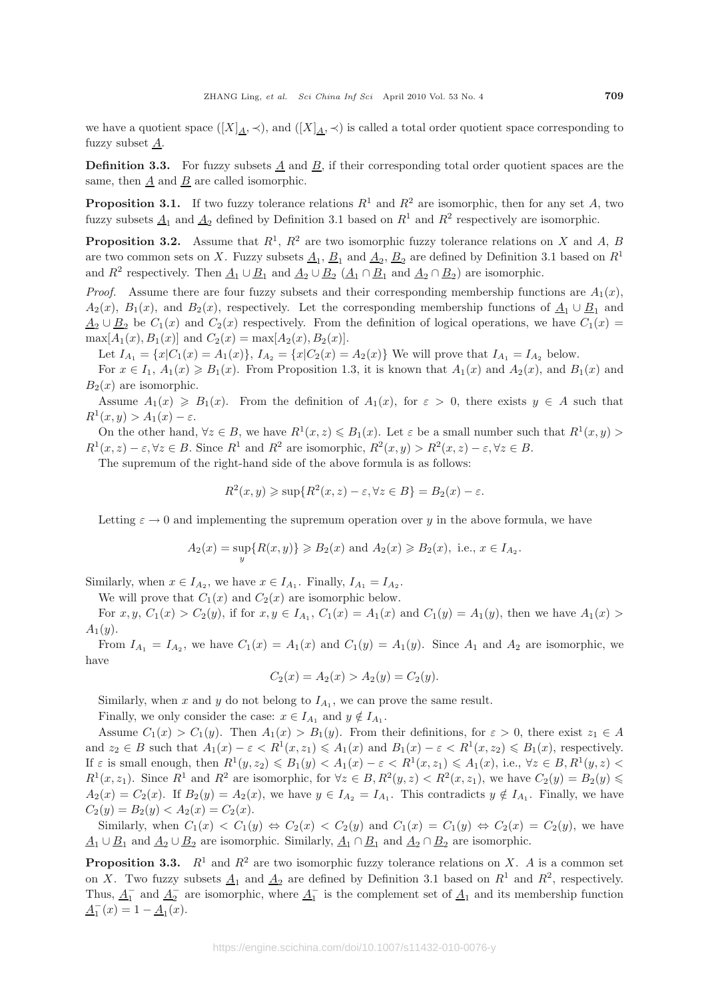we have a quotient space  $([X]_A, \prec)$ , and  $([X]_A, \prec)$  is called a total order quotient space corresponding to fuzzy subset  $\underline{A}$ .

**Definition 3.3.** For fuzzy subsets A and B, if their corresponding total order quotient spaces are the same, then A and B are called isomorphic.

**Proposition 3.1.** If two fuzzy tolerance relations  $R^1$  and  $R^2$  are isomorphic, then for any set A, two fuzzy subsets  $\underline{A}_1$  and  $\underline{A}_2$  defined by Definition 3.1 based on  $R^1$  and  $R^2$  respectively are isomorphic.

**Proposition 3.2.** Assume that  $R^1$ ,  $R^2$  are two isomorphic fuzzy tolerance relations on X and A, B are two common sets on X. Fuzzy subsets  $\underline{A}_1$ ,  $\underline{B}_1$  and  $\underline{A}_2$ ,  $\underline{B}_2$  are defined by Definition 3.1 based on  $R^1$ and  $R^2$  respectively. Then  $\underline{A}_1 \cup \underline{B}_1$  and  $\underline{A}_2 \cup \underline{B}_2$   $(\underline{A}_1 \cap \underline{B}_1$  and  $\underline{A}_2 \cap \underline{B}_2)$  are isomorphic.

*Proof.* Assume there are four fuzzy subsets and their corresponding membership functions are  $A_1(x)$ ,  $A_2(x)$ ,  $B_1(x)$ , and  $B_2(x)$ , respectively. Let the corresponding membership functions of  $\underline{A}_1 \cup \underline{B}_1$  and  $\underline{A}_2 \cup \underline{B}_2$  be  $C_1(x)$  and  $C_2(x)$  respectively. From the definition of logical operations, we have  $C_1(x)$  $\max[A_1(x), B_1(x)]$  and  $C_2(x) = \max[A_2(x), B_2(x)]$ .

Let  $I_{A_1} = \{x | C_1(x) = A_1(x)\}, I_{A_2} = \{x | C_2(x) = A_2(x)\}\$ We will prove that  $I_{A_1} = I_{A_2}$  below.

For  $x \in I_1$ ,  $A_1(x) \ge B_1(x)$ . From Proposition 1.3, it is known that  $A_1(x)$  and  $A_2(x)$ , and  $B_1(x)$  and  $B_2(x)$  are isomorphic.

Assume  $A_1(x) \geq B_1(x)$ . From the definition of  $A_1(x)$ , for  $\varepsilon > 0$ , there exists  $y \in A$  such that  $R^1(x, y) > A_1(x) - \varepsilon.$ 

On the other hand,  $\forall z \in B$ , we have  $R^1(x, z) \leq B_1(x)$ . Let  $\varepsilon$  be a small number such that  $R^1(x, y)$  $R^1(x, z) - \varepsilon, \forall z \in B$ . Since  $R^1$  and  $R^2$  are isomorphic,  $R^2(x, y) > R^2(x, z) - \varepsilon, \forall z \in B$ .

The supremum of the right-hand side of the above formula is as follows:

$$
R^2(x, y) \ge \sup\{R^2(x, z) - \varepsilon, \forall z \in B\} = B_2(x) - \varepsilon.
$$

Letting  $\varepsilon \to 0$  and implementing the supremum operation over y in the above formula, we have

$$
A_2(x) = \sup_y \{ R(x, y) \} \ge B_2(x)
$$
 and  $A_2(x) \ge B_2(x)$ , i.e.,  $x \in I_{A_2}$ .

Similarly, when  $x \in I_{A_2}$ , we have  $x \in I_{A_1}$ . Finally,  $I_{A_1} = I_{A_2}$ .

We will prove that  $C_1(x)$  and  $C_2(x)$  are isomorphic below.

For  $x, y, C_1(x) > C_2(y)$ , if for  $x, y \in I_{A_1}, C_1(x) = A_1(x)$  and  $C_1(y) = A_1(y)$ , then we have  $A_1(x) >$  $A_1(y)$ .

From  $I_{A_1} = I_{A_2}$ , we have  $C_1(x) = A_1(x)$  and  $C_1(y) = A_1(y)$ . Since  $A_1$  and  $A_2$  are isomorphic, we have

$$
C_2(x) = A_2(x) > A_2(y) = C_2(y).
$$

Similarly, when x and y do not belong to  $I_{A_1}$ , we can prove the same result.

Finally, we only consider the case:  $x \in I_{A_1}$  and  $y \notin I_{A_1}$ .

Assume  $C_1(x) > C_1(y)$ . Then  $A_1(x) > B_1(y)$ . From their definitions, for  $\varepsilon > 0$ , there exist  $z_1 \in A$ and  $z_2 \in B$  such that  $A_1(x) - \varepsilon < R^1(x, z_1) \leq A_1(x)$  and  $B_1(x) - \varepsilon < R^1(x, z_2) \leq B_1(x)$ , respectively. If  $\varepsilon$  is small enough, then  $R^1(y, z_2) \leqslant B_1(y) < A_1(x) - \varepsilon < R^1(x, z_1) \leqslant A_1(x)$ , i.e.,  $\forall z \in B, R^1(y, z) <$  $R^1(x, z_1)$ . Since  $R^1$  and  $R^2$  are isomorphic, for  $\forall z \in B, R^2(y, z) < R^2(x, z_1)$ , we have  $C_2(y) = B_2(y) \leq$  $A_2(x) = C_2(x)$ . If  $B_2(y) = A_2(x)$ , we have  $y \in I_{A_2} = I_{A_1}$ . This contradicts  $y \notin I_{A_1}$ . Finally, we have  $C_2(y) = B_2(y) < A_2(x) = C_2(x)$ .

Similarly, when  $C_1(x) < C_1(y) \Leftrightarrow C_2(x) < C_2(y)$  and  $C_1(x) = C_1(y) \Leftrightarrow C_2(x) = C_2(y)$ , we have  $\underline{A}_1 \cup \underline{B}_1$  and  $\underline{A}_2 \cup \underline{B}_2$  are isomorphic. Similarly,  $\underline{A}_1 \cap \underline{B}_1$  and  $\underline{A}_2 \cap \underline{B}_2$  are isomorphic.

**Proposition 3.3.**  $R^1$  and  $R^2$  are two isomorphic fuzzy tolerance relations on X. A is a common set on X. Two fuzzy subsets  $\underline{A}_1$  and  $\underline{A}_2$  are defined by Definition 3.1 based on  $R^1$  and  $R^2$ , respectively. Thus,  $\underline{A}_1^-$  and  $\underline{A}_2^-$  are isomorphic, where  $\underline{A}_1^-$  is the complement set of  $\underline{A}_1$  and its membership function  $\underline{A}_1^-(x) = 1 - \underline{A}_1(x).$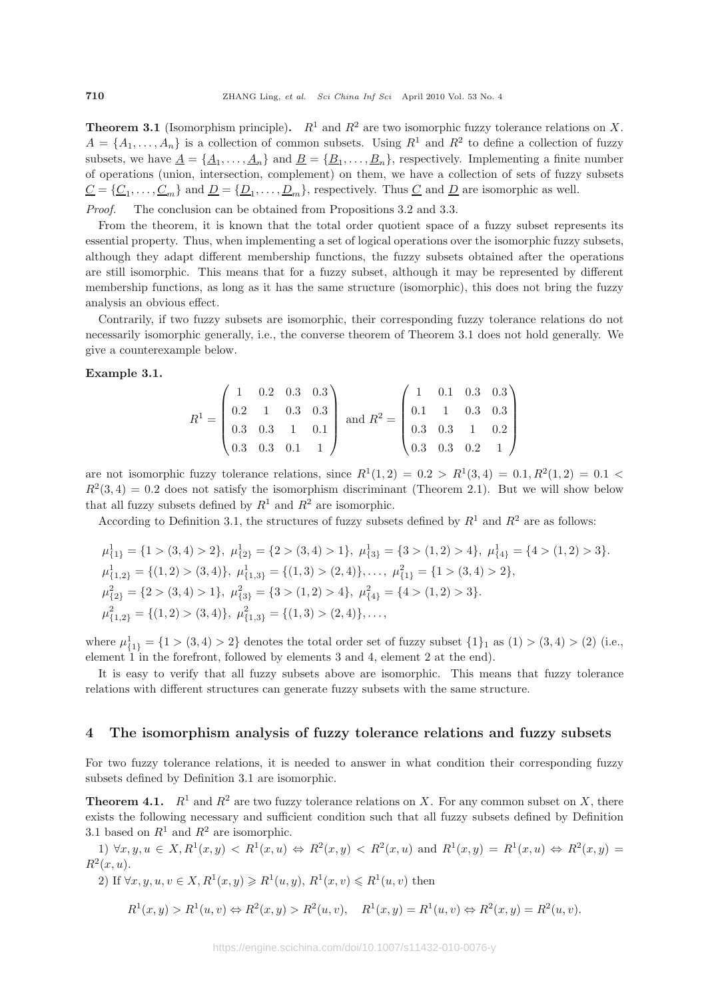**Theorem 3.1** (Isomorphism principle).  $R^1$  and  $R^2$  are two isomorphic fuzzy tolerance relations on X.  $A = \{A_1, \ldots, A_n\}$  is a collection of common subsets. Using  $R^1$  and  $R^2$  to define a collection of fuzzy subsets, we have  $\underline{A} = {\underline{A_1}, \ldots, \underline{A_n}}$  and  $\underline{B} = {\underline{B_1}, \ldots, \underline{B_n}}$ , respectively. Implementing a finite number of operations (union, intersection, complement) on them, we have a collection of sets of fuzzy subsets  $\underline{C} = {\underline{C_1}, \ldots, \underline{C_m}}$  and  $\underline{D} = {\underline{D_1}, \ldots, \underline{D_m}}$ , respectively. Thus  $\underline{C}$  and  $\underline{D}$  are isomorphic as well.

*Proof.* The conclusion can be obtained from Propositions 3.2 and 3.3.

From the theorem, it is known that the total order quotient space of a fuzzy subset represents its essential property. Thus, when implementing a set of logical operations over the isomorphic fuzzy subsets, although they adapt different membership functions, the fuzzy subsets obtained after the operations are still isomorphic. This means that for a fuzzy subset, although it may be represented by different membership functions, as long as it has the same structure (isomorphic), this does not bring the fuzzy analysis an obvious effect.

Contrarily, if two fuzzy subsets are isomorphic, their corresponding fuzzy tolerance relations do not necessarily isomorphic generally, i.e., the converse theorem of Theorem 3.1 does not hold generally. We give a counterexample below.

#### **Example 3.1.**

$$
R^{1} = \begin{pmatrix} 1 & 0.2 & 0.3 & 0.3 \\ 0.2 & 1 & 0.3 & 0.3 \\ 0.3 & 0.3 & 1 & 0.1 \\ 0.3 & 0.3 & 0.1 & 1 \end{pmatrix} \text{ and } R^{2} = \begin{pmatrix} 1 & 0.1 & 0.3 & 0.3 \\ 0.1 & 1 & 0.3 & 0.3 \\ 0.3 & 0.3 & 1 & 0.2 \\ 0.3 & 0.3 & 0.2 & 1 \end{pmatrix}
$$

are not isomorphic fuzzy tolerance relations, since  $R^1(1,2) = 0.2 > R^1(3,4) = 0.1, R^2(1,2) = 0.1 <$  $R^2(3, 4) = 0.2$  does not satisfy the isomorphism discriminant (Theorem 2.1). But we will show below that all fuzzy subsets defined by  $R^1$  and  $R^2$  are isomorphic.

According to Definition 3.1, the structures of fuzzy subsets defined by  $R^1$  and  $R^2$  are as follows:

$$
\mu_{\{1\}}^1 = \{1 > (3, 4) > 2\}, \ \mu_{\{2\}}^1 = \{2 > (3, 4) > 1\}, \ \mu_{\{3\}}^1 = \{3 > (1, 2) > 4\}, \ \mu_{\{4\}}^1 = \{4 > (1, 2) > 3\}.
$$
  

$$
\mu_{\{1,2\}}^1 = \{(1,2) > (3,4)\}, \ \mu_{\{1,3\}}^1 = \{(1,3) > (2,4)\}, \dots, \ \mu_{\{1\}}^2 = \{1 > (3,4) > 2\},
$$
  

$$
\mu_{\{2\}}^2 = \{2 > (3, 4) > 1\}, \ \mu_{\{3\}}^2 = \{3 > (1, 2) > 4\}, \ \mu_{\{4\}}^2 = \{4 > (1, 2) > 3\}.
$$
  

$$
\mu_{\{1,2\}}^2 = \{(1,2) > (3,4)\}, \ \mu_{\{1,3\}}^2 = \{(1,3) > (2,4)\}, \dots,
$$

where  $\mu_{\{1\}}^1 = \{1 > (3, 4) > 2\}$  denotes the total order set of fuzzy subset  $\{1\}_1$  as  $(1) > (3, 4) > (2)$  (i.e., element 1 in the forefront, followed by elements 3 and 4, element 2 at the end).

It is easy to verify that all fuzzy subsets above are isomorphic. This means that fuzzy tolerance relations with different structures can generate fuzzy subsets with the same structure.

## **4 The isomorphism analysis of fuzzy tolerance relations and fuzzy subsets**

For two fuzzy tolerance relations, it is needed to answer in what condition their corresponding fuzzy subsets defined by Definition 3.1 are isomorphic.

**Theorem 4.1.**  $R^1$  and  $R^2$  are two fuzzy tolerance relations on X. For any common subset on X, there exists the following necessary and sufficient condition such that all fuzzy subsets defined by Definition 3.1 based on  $R^1$  and  $R^2$  are isomorphic.

1)  $\forall x, y, u \in X, R^{1}(x, y) < R^{1}(x, u) \Leftrightarrow R^{2}(x, y) < R^{2}(x, u)$  and  $R^{1}(x, y) = R^{1}(x, u) \Leftrightarrow R^{2}(x, y) = R^{1}(x, u) \Leftrightarrow R^{2}(x, y) = R^{1}(x, u) \Leftrightarrow R^{2}(x, y) = R^{1}(x, u) \Leftrightarrow R^{2}(x, y) = R^{1}(x, u) \Leftrightarrow R^{2}(x, y) = R^{1}(x, u) \Leftrightarrow R^{2}(x, y) = R^{1}(x, u) \Leftrightarrow R^{2}(x,$  $R^2(x, u)$ .

2) If 
$$
\forall x, y, u, v \in X, R^1(x, y) \ge R^1(u, y), R^1(x, v) \le R^1(u, v)
$$
 then

$$
R^{1}(x, y) > R^{1}(u, v) \Leftrightarrow R^{2}(x, y) > R^{2}(u, v), \quad R^{1}(x, y) = R^{1}(u, v) \Leftrightarrow R^{2}(x, y) = R^{2}(u, v).
$$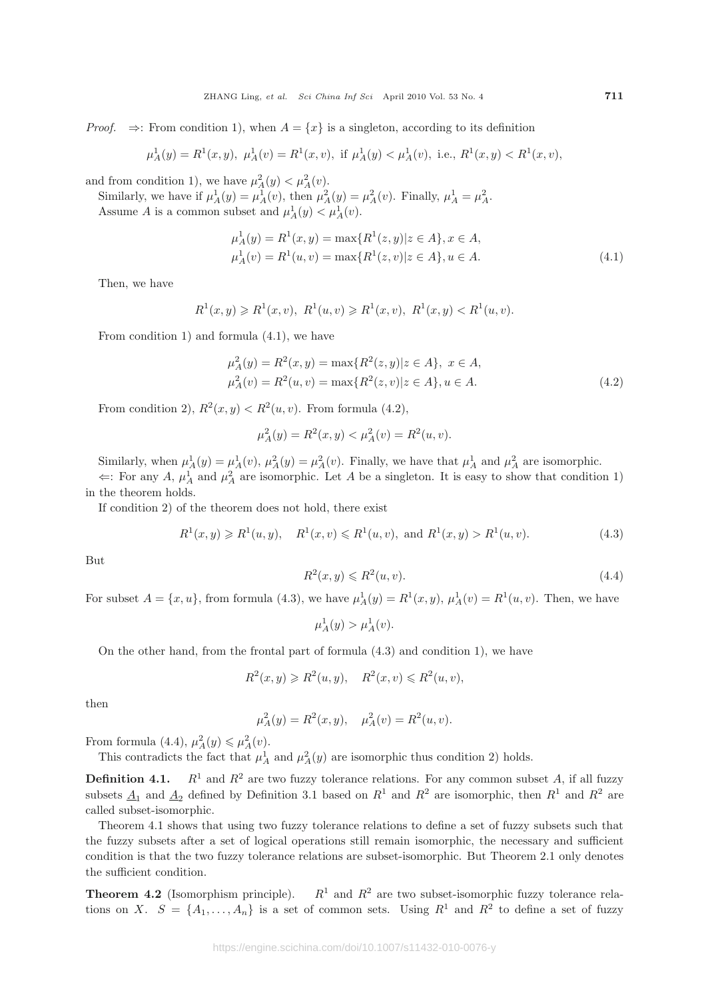*Proof.*  $\Rightarrow$ : From condition 1), when  $A = \{x\}$  is a singleton, according to its definition

$$
\mu_A^1(y) = R^1(x, y), \ \mu_A^1(v) = R^1(x, v), \text{ if } \mu_A^1(y) < \mu_A^1(v), \text{ i.e., } R^1(x, y) < R^1(x, v),
$$

and from condition 1), we have  $\mu_A^2(y) < \mu_A^2(v)$ .

Similarly, we have if  $\mu_A^1(y) = \mu_A^1(v)$ , then  $\mu_A^2(y) = \mu_A^2(v)$ . Finally,  $\mu_A^1 = \mu_A^2$ . Assume A is a common subset and  $\mu_A^1(y) < \mu_A^1(v)$ .

$$
\mu_A^1(y) = R^1(x, y) = \max\{R^1(z, y)|z \in A\}, x \in A,
$$
  
\n
$$
\mu_A^1(v) = R^1(u, v) = \max\{R^1(z, v)|z \in A\}, u \in A.
$$
\n(4.1)

Then, we have

$$
R^{1}(x, y) \geq R^{1}(x, v), R^{1}(u, v) \geq R^{1}(x, v), R^{1}(x, y) < R^{1}(u, v).
$$

From condition 1) and formula (4.1), we have

$$
\mu_A^2(y) = R^2(x, y) = \max\{R^2(z, y)|z \in A\}, \ x \in A,
$$
  
\n
$$
\mu_A^2(v) = R^2(u, v) = \max\{R^2(z, v)|z \in A\}, u \in A.
$$
\n(4.2)

From condition 2),  $R^2(x, y) < R^2(u, v)$ . From formula (4.2),

$$
\mu_A^2(y) = R^2(x, y) < \mu_A^2(v) = R^2(u, v).
$$

Similarly, when  $\mu_A^1(y) = \mu_A^1(v)$ ,  $\mu_A^2(y) = \mu_A^2(v)$ . Finally, we have that  $\mu_A^1$  and  $\mu_A^2$  are isomorphic.  $\Leftarrow$ : For any A,  $\mu_A^1$  and  $\mu_A^2$  are isomorphic. Let A be a singleton. It is easy to show that condition 1)

in the theorem holds.

If condition 2) of the theorem does not hold, there exist

$$
R^1(x, y) \ge R^1(u, y), \quad R^1(x, v) \le R^1(u, v), \text{ and } R^1(x, y) > R^1(u, v).
$$
 (4.3)

But

$$
R^2(x, y) \leq R^2(u, v). \tag{4.4}
$$

For subset  $A = \{x, u\}$ , from formula (4.3), we have  $\mu_A^1(y) = R^1(x, y)$ ,  $\mu_A^1(v) = R^1(u, v)$ . Then, we have

 $\mu^1_A(y) > \mu^1_A(v).$ 

On the other hand, from the frontal part of formula (4.3) and condition 1), we have

 $R^2(x, y) \ge R^2(u, y), \quad R^2(x, v) \le R^2(u, v),$ 

then

$$
\mu_A^2(y) = R^2(x, y), \quad \mu_A^2(v) = R^2(u, v).
$$

From formula (4.4),  $\mu_A^2(y) \leq \mu_A^2(v)$ .

This contradicts the fact that  $\mu_A^1$  and  $\mu_A^2(y)$  are isomorphic thus condition 2) holds.

**Definition 4.1.**  $R^1$  and  $R^2$  are two fuzzy tolerance relations. For any common subset A, if all fuzzy subsets  $\underline{A}_1$  and  $\underline{A}_2$  defined by Definition 3.1 based on  $R^1$  and  $R^2$  are isomorphic, then  $R^1$  and  $R^2$  are called subset-isomorphic.

Theorem 4.1 shows that using two fuzzy tolerance relations to define a set of fuzzy subsets such that the fuzzy subsets after a set of logical operations still remain isomorphic, the necessary and sufficient condition is that the two fuzzy tolerance relations are subset-isomorphic. But Theorem 2.1 only denotes the sufficient condition.

**Theorem 4.2** (Isomorphism principle).  $R^1$  and  $R^2$  are two subset-isomorphic fuzzy tolerance relations on X.  $S = \{A_1, \ldots, A_n\}$  is a set of common sets. Using  $R^1$  and  $R^2$  to define a set of fuzzy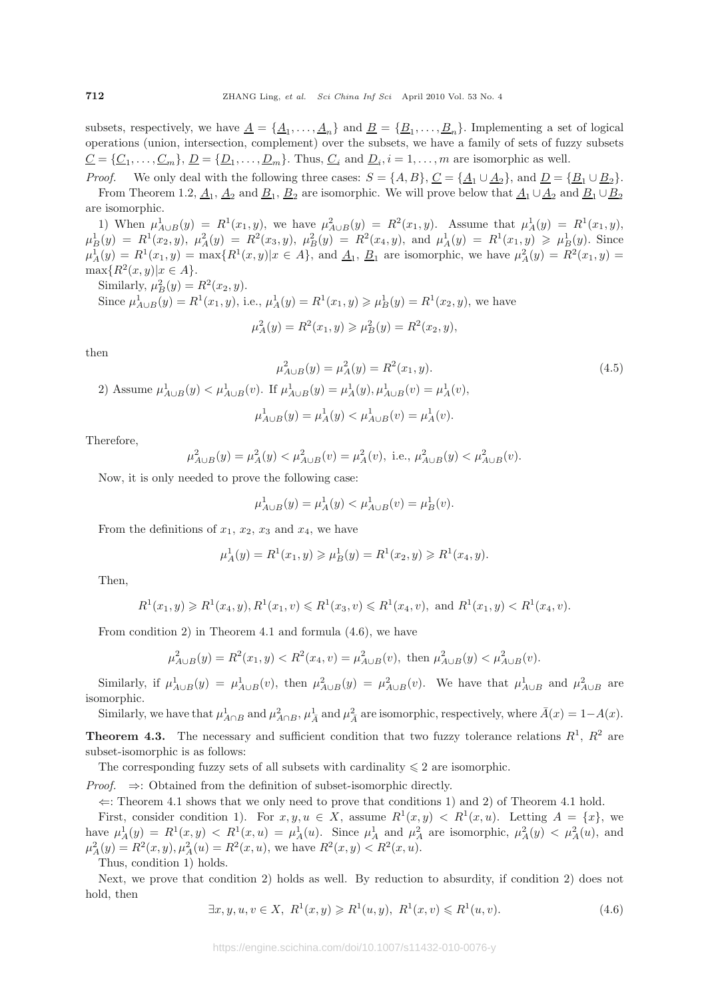subsets, respectively, we have  $\underline{A} = \{\underline{A}_1,\ldots,\underline{A}_n\}$  and  $\underline{B} = \{\underline{B}_1,\ldots,\underline{B}_n\}$ . Implementing a set of logical operations (union, intersection, complement) over the subsets, we have a family of sets of fuzzy subsets  $\underline{C} = {\underline{C_1}, \ldots, \underline{C_m}}$ ,  $\underline{D} = {\underline{D_1}, \ldots, \underline{D_m}}$ . Thus,  $\underline{C_i}$  and  $\underline{D_i}$ ,  $i = 1, \ldots, m$  are isomorphic as well.

*Proof.* We only deal with the following three cases:  $S = \{A, B\}$ ,  $C = \{\underline{A}_1 \cup \underline{A}_2\}$ , and  $\underline{D} = \{\underline{B}_1 \cup \underline{B}_2\}$ . From Theorem 1.2,  $\underline{A}_1$ ,  $\underline{A}_2$  and  $\underline{B}_1$ ,  $\underline{B}_2$  are isomorphic. We will prove below that  $\underline{A}_1 \cup \underline{A}_2$  and  $\underline{B}_1 \cup \underline{B}_2$ are isomorphic.

1) When  $\mu_{A\cup B}^1(y) = R^1(x_1, y)$ , we have  $\mu_{A\cup B}^2(y) = R^2(x_1, y)$ . Assume that  $\mu_A^1(y) = R^1(x_1, y)$ ,  $\mu_B^1(y) = R^1(x_2, y), \mu_A^2(y) = R^2(x_3, y), \mu_B^2(y) = R^2(x_4, y), \text{ and } \mu_A^1(y) = R^1(x_1, y) \geq \mu_B^1(y).$  Since  $\mu_A^1(y) = R^1(x_1, y) = \max\{R^1(x, y)|x \in A\}$ , and  $\underline{A}_1$ ,  $\underline{B}_1$  are isomorphic, we have  $\mu_A^2(y) = R^2(x_1, y) =$  $\max\{R^2(x,y)|x\in A\}.$ 

Similarly,  $\mu_B^2(y) = R^2(x_2, y)$ . Since  $\mu_{A\cup B}^1(y) = R^1(x_1, y)$ , i.e.,  $\mu_A^1(y) = R^1(x_1, y) \ge \mu_B^1(y) = R^1(x_2, y)$ , we have

$$
\mu_A^2(y) = R^2(x_1, y) \ge \mu_B^2(y) = R^2(x_2, y),
$$

then

$$
\mu_{A\cup B}^2(y) = \mu_A^2(y) = R^2(x_1, y).
$$
\n(4.5)\n
$$
P_{A\cup B}^1(y) < \mu_{A\cup B}^1(v). \text{ If } \mu_{A\cup B}^1(y) = \mu_A^1(y), \mu_{A\cup B}^1(v) = \mu_A^1(v),
$$

$$
\mu_{A\cup B}^1(y) = \mu_A^1(y) < \mu_{A\cup B}^1(v) = \mu_A^1(v).
$$

Therefore,

$$
\mu_{A\cup B}^2(y) = \mu_A^2(y) < \mu_{A\cup B}^2(v) = \mu_A^2(v), \text{ i.e., } \mu_{A\cup B}^2(y) < \mu_{A\cup B}^2(v).
$$

Now, it is only needed to prove the following case:

$$
\mu_{A\cup B}^1(y) = \mu_A^1(y) < \mu_{A\cup B}^1(v) = \mu_B^1(v).
$$

From the definitions of  $x_1, x_2, x_3$  and  $x_4$ , we have

$$
\mu_A^1(y) = R^1(x_1, y) \ge \mu_B^1(y) = R^1(x_2, y) \ge R^1(x_4, y).
$$

Then,

$$
R^1(x_1, y) \ge R^1(x_4, y), R^1(x_1, v) \le R^1(x_3, v) \le R^1(x_4, v)
$$
, and  $R^1(x_1, y) < R^1(x_4, v)$ .

From condition 2) in Theorem 4.1 and formula (4.6), we have

$$
\mu_{A\cup B}^2(y) = R^2(x_1, y) < R^2(x_4, v) = \mu_{A\cup B}^2(v), \text{ then } \mu_{A\cup B}^2(y) < \mu_{A\cup B}^2(v).
$$

Similarly, if  $\mu_{A\cup B}^1(y) = \mu_{A\cup B}^1(v)$ , then  $\mu_{A\cup B}^2(y) = \mu_{A\cup B}^2(v)$ . We have that  $\mu_{A\cup B}^1$  and  $\mu_{A\cup B}^2$  are isomorphic.

Similarly, we have that  $\mu_{A\cap B}^1$  and  $\mu_{A\cap B}^2$ ,  $\mu_{\overline{A}}^1$  and  $\mu_{\overline{A}}^2$  are isomorphic, respectively, where  $\overline{A}(x)=1-A(x)$ .

**Theorem 4.3.** The necessary and sufficient condition that two fuzzy tolerance relations  $R^1$ ,  $R^2$  are subset-isomorphic is as follows:

The corresponding fuzzy sets of all subsets with cardinality  $\leq 2$  are isomorphic.

*Proof.* ⇒: Obtained from the definition of subset-isomorphic directly.

 $\Leftarrow$ : Theorem 4.1 shows that we only need to prove that conditions 1) and 2) of Theorem 4.1 hold.

First, consider condition 1). For  $x, y, u \in X$ , assume  $R^1(x, y) < R^1(x, u)$ . Letting  $A = \{x\}$ , we have  $\mu_A^1(y) = R^1(x, y) < R^1(x, u) = \mu_A^1(u)$ . Since  $\mu_A^1$  and  $\mu_A^2$  are isomorphic,  $\mu_A^2(y) < \mu_A^2(u)$ , and  $\mu_A^2(y) = R^2(x, y), \mu_A^2(u) = R^2(x, u)$ , we have  $R^2(x, y) < R^2(x, u)$ .

Thus, condition 1) holds.

Next, we prove that condition 2) holds as well. By reduction to absurdity, if condition 2) does not hold, then

$$
\exists x, y, u, v \in X, \ R^{1}(x, y) \geq R^{1}(u, y), \ R^{1}(x, v) \leq R^{1}(u, v).
$$
\n(4.6)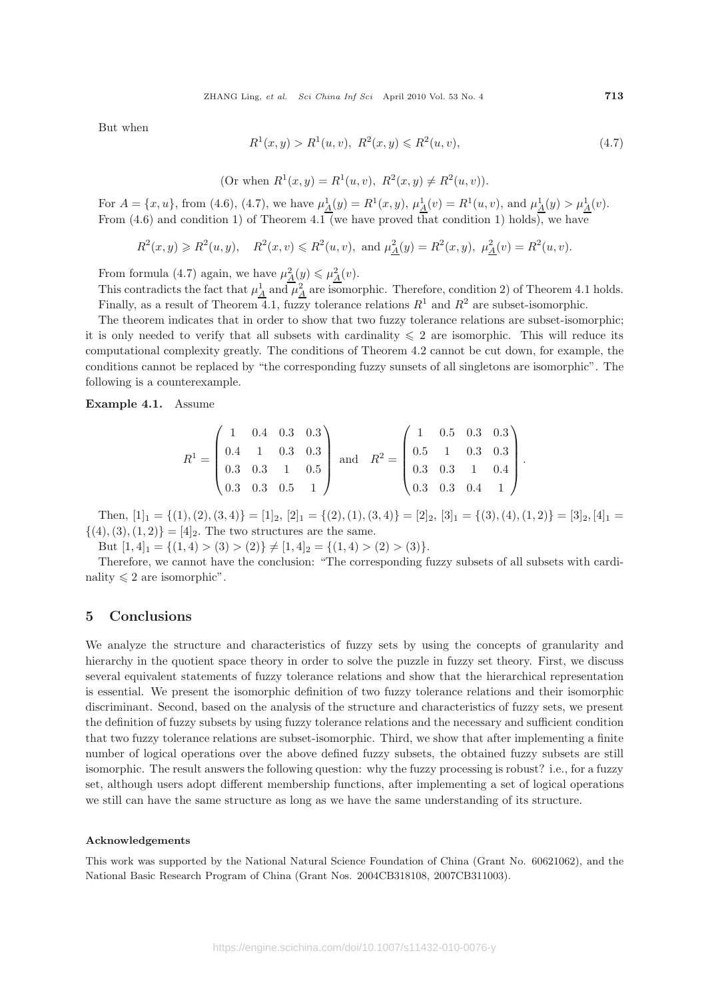But when

$$
R^{1}(x, y) > R^{1}(u, v), R^{2}(x, y) \leq R^{2}(u, v),
$$
\n(4.7)

(Or when 
$$
R^1(x, y) = R^1(u, v)
$$
,  $R^2(x, y) \neq R^2(u, v)$ ).

For  $A = \{x, u\}$ , from (4.6), (4.7), we have  $\mu_A^1(y) = R^1(x, y)$ ,  $\mu_A^1(v) = R^1(u, v)$ , and  $\mu_A^1(y) > \mu_A^1(v)$ . From  $(4.6)$  and condition 1) of Theorem  $4.1$  (we have proved that condition 1) holds), we have

$$
R^2(x, y) \ge R^2(u, y)
$$
,  $R^2(x, v) \le R^2(u, v)$ , and  $\mu_{\underline{A}}^2(y) = R^2(x, y)$ ,  $\mu_{\underline{A}}^2(v) = R^2(u, v)$ .

From formula (4.7) again, we have  $\mu_{\underline{A}}^2(y) \leq \mu_{\underline{A}}^2(v)$ .

This contradicts the fact that  $\mu_A^1$  and  $\mu_A^2$  are isomorphic. Therefore, condition 2) of Theorem 4.1 holds. Finally, as a result of Theorem 4.1, fuzzy tolerance relations  $R^1$  and  $R^2$  are subset-isomorphic.

The theorem indicates that in order to show that two fuzzy tolerance relations are subset-isomorphic; it is only needed to verify that all subsets with cardinality  $\leq 2$  are isomorphic. This will reduce its computational complexity greatly. The conditions of Theorem 4.2 cannot be cut down, for example, the conditions cannot be replaced by "the corresponding fuzzy sunsets of all singletons are isomorphic". The following is a counterexample.

**Example 4.1.** Assume

$$
R^{1} = \begin{pmatrix} 1 & 0.4 & 0.3 & 0.3 \\ 0.4 & 1 & 0.3 & 0.3 \\ 0.3 & 0.3 & 1 & 0.5 \\ 0.3 & 0.3 & 0.5 & 1 \end{pmatrix} \text{ and } R^{2} = \begin{pmatrix} 1 & 0.5 & 0.3 & 0.3 \\ 0.5 & 1 & 0.3 & 0.3 \\ 0.3 & 0.3 & 1 & 0.4 \\ 0.3 & 0.3 & 0.4 & 1 \end{pmatrix}.
$$

Then,  $[1]_1 = \{(1), (2), (3, 4)\} = [1]_2$ ,  $[2]_1 = \{(2), (1), (3, 4)\} = [2]_2$ ,  $[3]_1 = \{(3), (4), (1, 2)\} = [3]_2$ ,  $[4]_1 =$  $\{(4), (3), (1, 2)\} = [4]_2$ . The two structures are the same.

But  $[1, 4]_1 = \{(1, 4) > (3) > (2)\}\neq [1, 4]_2 = \{(1, 4) > (2) > (3)\}.$ 

Therefore, we cannot have the conclusion: "The corresponding fuzzy subsets of all subsets with cardinality  $\leq 2$  are isomorphic".

## **5 Conclusions**

We analyze the structure and characteristics of fuzzy sets by using the concepts of granularity and hierarchy in the quotient space theory in order to solve the puzzle in fuzzy set theory. First, we discuss several equivalent statements of fuzzy tolerance relations and show that the hierarchical representation is essential. We present the isomorphic definition of two fuzzy tolerance relations and their isomorphic discriminant. Second, based on the analysis of the structure and characteristics of fuzzy sets, we present the definition of fuzzy subsets by using fuzzy tolerance relations and the necessary and sufficient condition that two fuzzy tolerance relations are subset-isomorphic. Third, we show that after implementing a finite number of logical operations over the above defined fuzzy subsets, the obtained fuzzy subsets are still isomorphic. The result answers the following question: why the fuzzy processing is robust? i.e., for a fuzzy set, although users adopt different membership functions, after implementing a set of logical operations we still can have the same structure as long as we have the same understanding of its structure.

#### **Acknowledgements**

This work was supported by the National Natural Science Foundation of China (Grant No. 60621062), and the National Basic Research Program of China (Grant Nos. 2004CB318108, 2007CB311003).